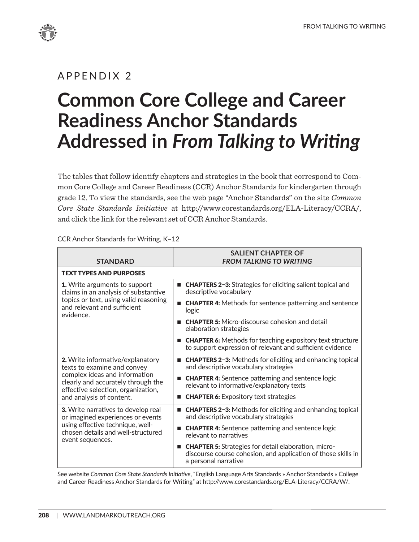## APPENDIX 2

## **Common Core College and Career Readiness Anchor Standards Addressed in** *From Talking to Writing*

The tables that follow identify chapters and strategies in the book that correspond to Common Core College and Career Readiness (CCR) Anchor Standards for kindergarten through grade 12. To view the standards, see the web page "Anchor Standards" on the site *Common Core State Standards Initiative* at http://www.corestandards.org/ELA-Literacy/CCRA/, and click the link for the relevant set of CCR Anchor Standards.

| <b>STANDARD</b>                                                                                                                                                                                          | <b>SALIENT CHAPTER OF</b><br><b>FROM TALKING TO WRITING</b>                                                                                           |  |
|----------------------------------------------------------------------------------------------------------------------------------------------------------------------------------------------------------|-------------------------------------------------------------------------------------------------------------------------------------------------------|--|
| <b>TEXT TYPES AND PURPOSES</b>                                                                                                                                                                           |                                                                                                                                                       |  |
| 1. Write arguments to support<br>claims in an analysis of substantive<br>topics or text, using valid reasoning<br>and relevant and sufficient<br>evidence.                                               | ■ CHAPTERS 2-3: Strategies for eliciting salient topical and<br>descriptive vocabulary                                                                |  |
|                                                                                                                                                                                                          | ■ <b>CHAPTER 4:</b> Methods for sentence patterning and sentence<br>logic                                                                             |  |
|                                                                                                                                                                                                          | ■ <b>CHAPTER 5:</b> Micro-discourse cohesion and detail<br>elaboration strategies                                                                     |  |
|                                                                                                                                                                                                          | ■ <b>CHAPTER 6:</b> Methods for teaching expository text structure<br>to support expression of relevant and sufficient evidence                       |  |
| 2. Write informative/explanatory<br>texts to examine and convey<br>complex ideas and information<br>clearly and accurately through the<br>effective selection, organization,<br>and analysis of content. | <b>E</b> CHAPTERS 2-3: Methods for eliciting and enhancing topical<br>and descriptive vocabulary strategies                                           |  |
|                                                                                                                                                                                                          | ■ <b>CHAPTER 4:</b> Sentence patterning and sentence logic<br>relevant to informative/explanatory texts                                               |  |
|                                                                                                                                                                                                          | <b>EXPIGE:</b> CHAPTER 6: Expository text strategies                                                                                                  |  |
| 3. Write narratives to develop real<br>or imagined experiences or events<br>using effective technique, well-<br>chosen details and well-structured<br>event sequences.                                   | ■ <b>CHAPTERS 2-3:</b> Methods for eliciting and enhancing topical<br>and descriptive vocabulary strategies                                           |  |
|                                                                                                                                                                                                          | <b>EXECUTER 4:</b> Sentence patterning and sentence logic<br>relevant to narratives                                                                   |  |
|                                                                                                                                                                                                          | <b>EXECUTER 5:</b> Strategies for detail elaboration, micro-<br>discourse course cohesion, and application of those skills in<br>a personal narrative |  |

CCR Anchor Standards for Writing, K–12

See website *Common Core State Standards Initiative*, "English Language Arts Standards » Anchor Standards » College and Career Readiness Anchor Standards for Writing" at http://www.corestandards.org/ELA-Literacy/CCRA/W/.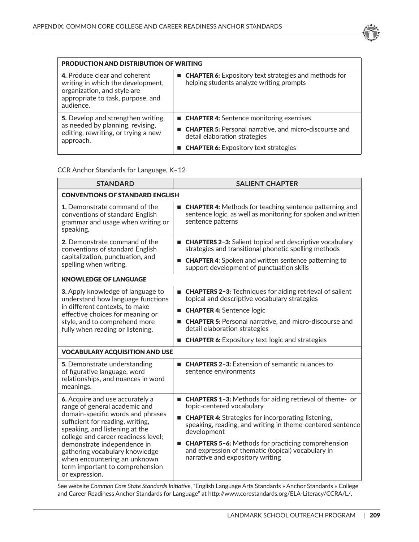

| <b>PRODUCTION AND DISTRIBUTION OF WRITING</b>                                                                                                       |                                                                                                            |
|-----------------------------------------------------------------------------------------------------------------------------------------------------|------------------------------------------------------------------------------------------------------------|
| 4. Produce clear and coherent<br>writing in which the development,<br>organization, and style are<br>appropriate to task, purpose, and<br>audience. | ■ <b>CHAPTER 6:</b> Expository text strategies and methods for<br>helping students analyze writing prompts |
| 5. Develop and strengthen writing<br>as needed by planning, revising,<br>editing, rewriting, or trying a new<br>approach.                           | ■ <b>CHAPTER 4:</b> Sentence monitoring exercises                                                          |
|                                                                                                                                                     | <b>E</b> CHAPTER 5: Personal narrative, and micro-discourse and<br>detail elaboration strategies           |
|                                                                                                                                                     | <b>EXPIGE:</b> CHAPTER 6: Expository text strategies                                                       |

## CCR Anchor Standards for Language, K–12

| <b>STANDARD</b>                                                                                                                                                                                                                                                                                                                                                          | <b>SALIENT CHAPTER</b>                                                                                                                                                               |  |
|--------------------------------------------------------------------------------------------------------------------------------------------------------------------------------------------------------------------------------------------------------------------------------------------------------------------------------------------------------------------------|--------------------------------------------------------------------------------------------------------------------------------------------------------------------------------------|--|
| <b>CONVENTIONS OF STANDARD ENGLISH</b>                                                                                                                                                                                                                                                                                                                                   |                                                                                                                                                                                      |  |
| <b>1.</b> Demonstrate command of the<br>conventions of standard English<br>grammar and usage when writing or<br>speaking.                                                                                                                                                                                                                                                | ■ CHAPTER 4: Methods for teaching sentence patterning and<br>sentence logic, as well as monitoring for spoken and written<br>sentence patterns                                       |  |
| 2. Demonstrate command of the<br>conventions of standard English<br>capitalization, punctuation, and<br>spelling when writing.                                                                                                                                                                                                                                           | ■ CHAPTERS 2-3: Salient topical and descriptive vocabulary<br>strategies and transitional phonetic spelling methods<br><b>E</b> CHAPTER 4: Spoken and written sentence patterning to |  |
|                                                                                                                                                                                                                                                                                                                                                                          | support development of punctuation skills                                                                                                                                            |  |
| <b>KNOWLEDGE OF LANGUAGE</b>                                                                                                                                                                                                                                                                                                                                             |                                                                                                                                                                                      |  |
| 3. Apply knowledge of language to<br>understand how language functions                                                                                                                                                                                                                                                                                                   | ■ CHAPTERS 2-3: Techniques for aiding retrieval of salient<br>topical and descriptive vocabulary strategies                                                                          |  |
| in different contexts, to make<br>effective choices for meaning or                                                                                                                                                                                                                                                                                                       | <b>E CHAPTER 4:</b> Sentence logic                                                                                                                                                   |  |
| style, and to comprehend more<br>fully when reading or listening.                                                                                                                                                                                                                                                                                                        | <b>E</b> CHAPTER 5: Personal narrative, and micro-discourse and<br>detail elaboration strategies                                                                                     |  |
|                                                                                                                                                                                                                                                                                                                                                                          | <b>CHAPTER 6:</b> Expository text logic and strategies                                                                                                                               |  |
| <b>VOCABULARY ACQUISITION AND USE</b>                                                                                                                                                                                                                                                                                                                                    |                                                                                                                                                                                      |  |
| 5. Demonstrate understanding<br>of figurative language, word<br>relationships, and nuances in word<br>meanings.                                                                                                                                                                                                                                                          | <b>E</b> CHAPTERS 2-3: Extension of semantic nuances to<br>sentence environments                                                                                                     |  |
| 6. Acquire and use accurately a<br>range of general academic and<br>domain-specific words and phrases<br>sufficient for reading, writing,<br>speaking, and listening at the<br>college and career readiness level;<br>demonstrate independence in<br>gathering vocabulary knowledge<br>when encountering an unknown<br>term important to comprehension<br>or expression. | ■ CHAPTERS 1-3: Methods for aiding retrieval of theme- or<br>topic-centered vocabulary                                                                                               |  |
|                                                                                                                                                                                                                                                                                                                                                                          | ■ <b>CHAPTER 4:</b> Strategies for incorporating listening,<br>speaking, reading, and writing in theme-centered sentence<br>development                                              |  |
|                                                                                                                                                                                                                                                                                                                                                                          | ■ <b>CHAPTERS 5-6:</b> Methods for practicing comprehension<br>and expression of thematic (topical) vocabulary in<br>narrative and expository writing                                |  |

See website *Common Core State Standards Initiative*, "English Language Arts Standards » Anchor Standards » College and Career Readiness Anchor Standards for Language" at http://www.corestandards.org/ELA-Literacy/CCRA/L/.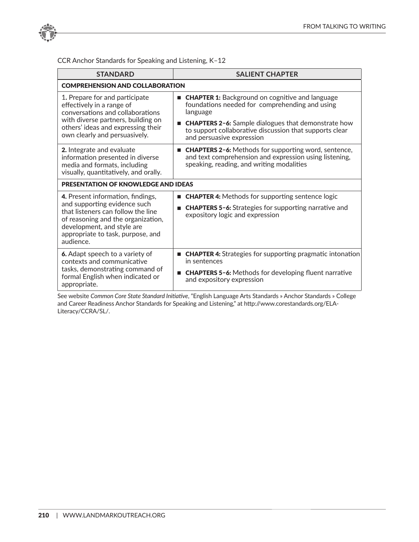

CCR Anchor Standards for Speaking and Listening, K–12

| <b>STANDARD</b>                                                                                                                                                                                                               | <b>SALIENT CHAPTER</b>                                                                                                                                             |  |
|-------------------------------------------------------------------------------------------------------------------------------------------------------------------------------------------------------------------------------|--------------------------------------------------------------------------------------------------------------------------------------------------------------------|--|
| <b>COMPREHENSION AND COLLABORATION</b>                                                                                                                                                                                        |                                                                                                                                                                    |  |
| 1. Prepare for and participate<br>effectively in a range of<br>conversations and collaborations<br>with diverse partners, building on<br>others' ideas and expressing their<br>own clearly and persuasively.                  | <b>CHAPTER 1:</b> Background on cognitive and language<br>foundations needed for comprehending and using<br>language                                               |  |
|                                                                                                                                                                                                                               | <b>CHAPTERS 2-6:</b> Sample dialogues that demonstrate how<br>to support collaborative discussion that supports clear<br>and persuasive expression                 |  |
| 2. Integrate and evaluate<br>information presented in diverse<br>media and formats, including<br>visually, quantitatively, and orally.                                                                                        | <b>CHAPTERS 2-6:</b> Methods for supporting word, sentence,<br>and text comprehension and expression using listening,<br>speaking, reading, and writing modalities |  |
| <b>PRESENTATION OF KNOWLEDGE AND IDEAS</b>                                                                                                                                                                                    |                                                                                                                                                                    |  |
| 4. Present information, findings,<br>and supporting evidence such<br>that listeners can follow the line<br>of reasoning and the organization,<br>development, and style are<br>appropriate to task, purpose, and<br>audience. | <b>CHAPTER 4:</b> Methods for supporting sentence logic                                                                                                            |  |
|                                                                                                                                                                                                                               | <b>CHAPTERS 5-6:</b> Strategies for supporting narrative and<br>expository logic and expression                                                                    |  |
| 6. Adapt speech to a variety of<br>contexts and communicative<br>tasks, demonstrating command of<br>formal English when indicated or<br>appropriate.                                                                          | ■ <b>CHAPTER 4:</b> Strategies for supporting pragmatic intonation<br>in sentences                                                                                 |  |
|                                                                                                                                                                                                                               | <b>CHAPTERS 5-6:</b> Methods for developing fluent narrative<br>and expository expression                                                                          |  |

See website *Common Core State Standard Initiative*, "English Language Arts Standards » Anchor Standards » College and Career Readiness Anchor Standards for Speaking and Listening," at http://www.corestandards.org/ELA-Literacy/CCRA/SL/.